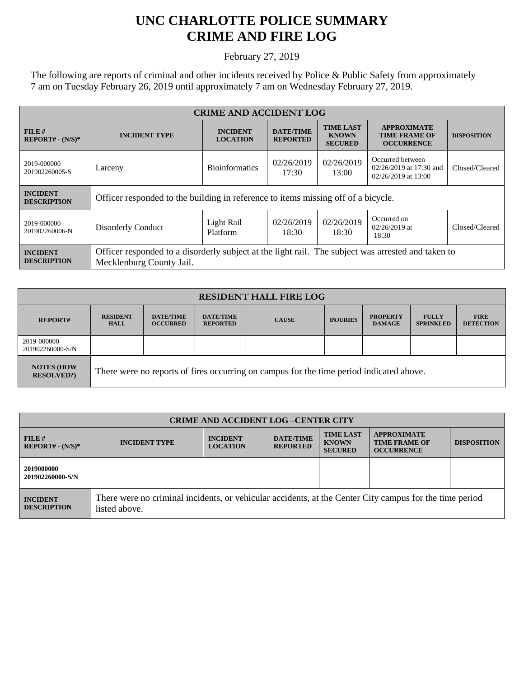## **UNC CHARLOTTE POLICE SUMMARY CRIME AND FIRE LOG**

February 27, 2019

The following are reports of criminal and other incidents received by Police & Public Safety from approximately 7 am on Tuesday February 26, 2019 until approximately 7 am on Wednesday February 27, 2019.

| <b>CRIME AND ACCIDENT LOG</b>         |                                                                                                                                |                                    |                                     |                                                    |                                                                      |                    |  |
|---------------------------------------|--------------------------------------------------------------------------------------------------------------------------------|------------------------------------|-------------------------------------|----------------------------------------------------|----------------------------------------------------------------------|--------------------|--|
| FILE#<br>$REPORT# - (N/S)*$           | <b>INCIDENT TYPE</b>                                                                                                           | <b>INCIDENT</b><br><b>LOCATION</b> | <b>DATE/TIME</b><br><b>REPORTED</b> | <b>TIME LAST</b><br><b>KNOWN</b><br><b>SECURED</b> | <b>APPROXIMATE</b><br><b>TIME FRAME OF</b><br><b>OCCURRENCE</b>      | <b>DISPOSITION</b> |  |
| 2019-000000<br>201902260005-S         | Larceny                                                                                                                        | <b>Bioinformatics</b>              | 02/26/2019<br>17:30                 | 02/26/2019<br>13:00                                | Occurred between<br>02/26/2019 at 17:30 and<br>$02/26/2019$ at 13:00 | Closed/Cleared     |  |
| <b>INCIDENT</b><br><b>DESCRIPTION</b> | Officer responded to the building in reference to items missing off of a bicycle.                                              |                                    |                                     |                                                    |                                                                      |                    |  |
| 2019-000000<br>201902260006-N         | Disorderly Conduct                                                                                                             | Light Rail<br>Platform             | 02/26/2019<br>18:30                 | 02/26/2019<br>18:30                                | Occurred on<br>$02/26/2019$ at<br>18:30                              | Closed/Cleared     |  |
| <b>INCIDENT</b><br><b>DESCRIPTION</b> | Officer responded to a disorderly subject at the light rail. The subject was arrested and taken to<br>Mecklenburg County Jail. |                                    |                                     |                                                    |                                                                      |                    |  |

| <b>RESIDENT HALL FIRE LOG</b>         |                                                                                         |                                     |                                     |              |                 |                                  |                                  |                                 |
|---------------------------------------|-----------------------------------------------------------------------------------------|-------------------------------------|-------------------------------------|--------------|-----------------|----------------------------------|----------------------------------|---------------------------------|
| <b>REPORT#</b>                        | <b>RESIDENT</b><br><b>HALL</b>                                                          | <b>DATE/TIME</b><br><b>OCCURRED</b> | <b>DATE/TIME</b><br><b>REPORTED</b> | <b>CAUSE</b> | <b>INJURIES</b> | <b>PROPERTY</b><br><b>DAMAGE</b> | <b>FULLY</b><br><b>SPRINKLED</b> | <b>FIRE</b><br><b>DETECTION</b> |
| 2019-000000<br>201902260000-S/N       |                                                                                         |                                     |                                     |              |                 |                                  |                                  |                                 |
| <b>NOTES (HOW</b><br><b>RESOLVED?</b> | There were no reports of fires occurring on campus for the time period indicated above. |                                     |                                     |              |                 |                                  |                                  |                                 |

| <b>CRIME AND ACCIDENT LOG-CENTER CITY</b> |                                                                                                                          |                                    |                                     |                                                    |                                                                 |                    |
|-------------------------------------------|--------------------------------------------------------------------------------------------------------------------------|------------------------------------|-------------------------------------|----------------------------------------------------|-----------------------------------------------------------------|--------------------|
| FILE#<br>$REPORT# - (N/S)*$               | <b>INCIDENT TYPE</b>                                                                                                     | <b>INCIDENT</b><br><b>LOCATION</b> | <b>DATE/TIME</b><br><b>REPORTED</b> | <b>TIME LAST</b><br><b>KNOWN</b><br><b>SECURED</b> | <b>APPROXIMATE</b><br><b>TIME FRAME OF</b><br><b>OCCURRENCE</b> | <b>DISPOSITION</b> |
| 2019000000<br>201902260000-S/N            |                                                                                                                          |                                    |                                     |                                                    |                                                                 |                    |
| <b>INCIDENT</b><br><b>DESCRIPTION</b>     | There were no criminal incidents, or vehicular accidents, at the Center City campus for the time period<br>listed above. |                                    |                                     |                                                    |                                                                 |                    |